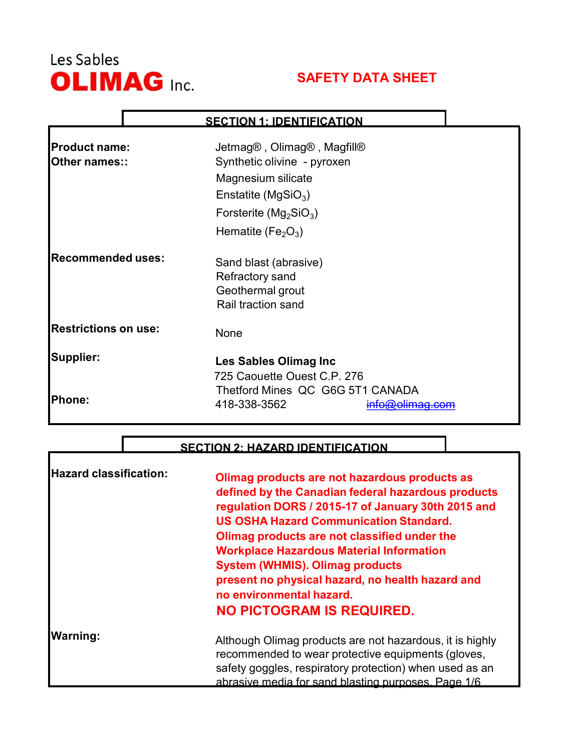

Г

# SAFETY DATA SHEET

### SECTION 1: IDENTIFICATION

| <b>Product name:</b><br>Other names:: | Jetmag®, Olimag®, Magfill®<br>Synthetic olivine - pyroxen<br>Magnesium silicate<br>Enstatite (MgSiO <sub>3</sub> )<br>Forsterite ( $Mg_2SiO_3$ )<br>Hematite (Fe <sub>2</sub> O <sub>3</sub> ) |
|---------------------------------------|------------------------------------------------------------------------------------------------------------------------------------------------------------------------------------------------|
| <b>Recommended uses:</b>              | Sand blast (abrasive)<br>Refractory sand<br>Geothermal grout<br>Rail traction sand                                                                                                             |
| <b>Restrictions on use:</b>           | None                                                                                                                                                                                           |
| Supplier:                             | Les Sables Olimag Inc<br>725 Caouette Ouest C.P. 276                                                                                                                                           |
| Phone:                                | Thetford Mines QC G6G 5T1 CANADA<br>418-338-3562<br>nfo@olimaq.com                                                                                                                             |

#### SECTION 2: HAZARD IDENTIFICATION

| <b>Hazard classification:</b> | Olimag products are not hazardous products as<br>defined by the Canadian federal hazardous products<br>regulation DORS / 2015-17 of January 30th 2015 and<br><b>US OSHA Hazard Communication Standard.</b><br>Olimag products are not classified under the<br><b>Workplace Hazardous Material Information</b><br><b>System (WHMIS). Olimag products</b><br>present no physical hazard, no health hazard and<br>no environmental hazard.<br><b>NO PICTOGRAM IS REQUIRED.</b> |
|-------------------------------|-----------------------------------------------------------------------------------------------------------------------------------------------------------------------------------------------------------------------------------------------------------------------------------------------------------------------------------------------------------------------------------------------------------------------------------------------------------------------------|
| <b>Warning:</b>               | Although Olimag products are not hazardous, it is highly<br>recommended to wear protective equipments (gloves,<br>safety goggles, respiratory protection) when used as an<br>abrasive media for sand blasting purposes. Page 1/6                                                                                                                                                                                                                                            |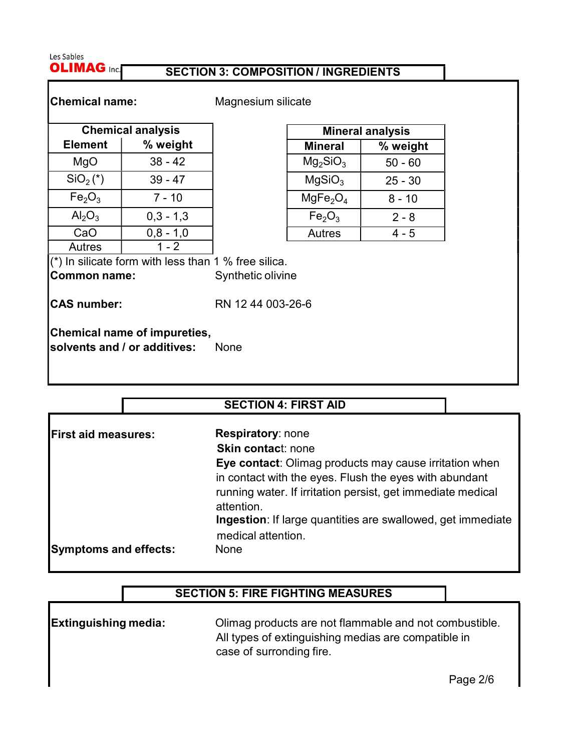Les Sables **OLIMAG Inc.** 

#### SECTION 3: COMPOSITION / INGREDIENTS

Chemical name: Magnesium silicate

|                                | <b>Chemical analysis</b> | <b>Mine</b>                      |
|--------------------------------|--------------------------|----------------------------------|
| <b>Element</b>                 | % weight                 | <b>Mineral</b>                   |
| MgO                            | $38 - 42$                | Mg <sub>2</sub> SiO <sub>3</sub> |
| $SiO2(*)$                      | $39 - 47$                | MqSiO <sub>3</sub>               |
| Fe <sub>2</sub> O <sub>3</sub> | $7 - 10$                 | MgFe <sub>2</sub> O <sub>4</sub> |
| $Al_2O_3$                      | $0,3 - 1,3$              | Fe <sub>2</sub> O <sub>3</sub>   |
| CaO                            | $0,8 - 1,0$              | Autres                           |
| <b>Autres</b>                  | 1 - 2                    |                                  |

| <b>Mineral analysis</b>          |           |
|----------------------------------|-----------|
| <b>Mineral</b>                   | % weight  |
| Mg <sub>2</sub> SiO <sub>3</sub> | $50 - 60$ |
| MgSiO <sub>3</sub>               | $25 - 30$ |
| MgFe <sub>2</sub> O <sub>4</sub> | $8 - 10$  |
| Fe <sub>2</sub> O <sub>3</sub>   | $2 - 8$   |
| Autres                           | 4 - 5     |

 $\mathbf{I}^{(*)}$  In silicate form with less than 1 % free silica. Common name: Synthetic olivine

CAS number: RN 12 44 003-26-6

Chemical name of impureties, solvents and / or additives: None

### SECTION 4: FIRST AID

| <b>First aid measures:</b>   | <b>Respiratory: none</b><br><b>Skin contact: none</b>                             |
|------------------------------|-----------------------------------------------------------------------------------|
|                              | Eye contact: Olimag products may cause irritation when                            |
|                              | in contact with the eyes. Flush the eyes with abundant                            |
|                              | running water. If irritation persist, get immediate medical<br>attention.         |
|                              | Ingestion: If large quantities are swallowed, get immediate<br>medical attention. |
| <b>Symptoms and effects:</b> | <b>None</b>                                                                       |

### SECTION 5: FIRE FIGHTING MEASURES

**Extinguishing media:** Olimag products are not flammable and not combustible. All types of extinguishing medias are compatible in case of surronding fire.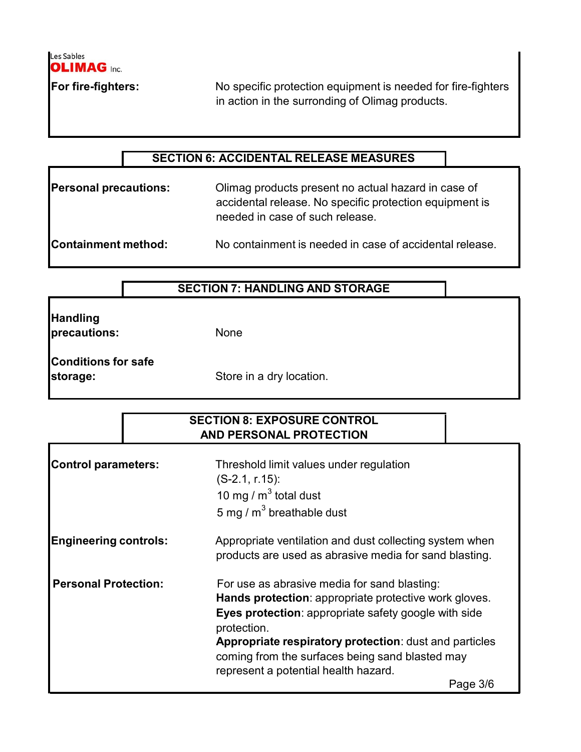

For fire-fighters: No specific protection equipment is needed for fire-fighters in action in the surronding of Olimag products.

### SECTION 6: ACCIDENTAL RELEASE MEASURES

Personal precautions: Climag products present no actual hazard in case of accidental release. No specific protection equipment is needed in case of such release.

Containment method: No containment is needed in case of accidental release.

| <b>Handling</b> |
|-----------------|
| precautions:    |

None

| <b>Conditions for safe</b> |  |
|----------------------------|--|
| storage:                   |  |

Store in a dry location.

### SECTION 8: EXPOSURE CONTROL AND PERSONAL PROTECTION

| Control parameters:          | Threshold limit values under regulation<br>$(S-2.1, r.15)$ :<br>10 mg / $m3$ total dust<br>5 mg / $m^3$ breathable dust                                                                                                                                                                                                                       |
|------------------------------|-----------------------------------------------------------------------------------------------------------------------------------------------------------------------------------------------------------------------------------------------------------------------------------------------------------------------------------------------|
| <b>Engineering controls:</b> | Appropriate ventilation and dust collecting system when<br>products are used as abrasive media for sand blasting.                                                                                                                                                                                                                             |
| <b>Personal Protection:</b>  | For use as abrasive media for sand blasting:<br>Hands protection: appropriate protective work gloves.<br>Eyes protection: appropriate safety google with side<br>protection.<br>Appropriate respiratory protection: dust and particles<br>coming from the surfaces being sand blasted may<br>represent a potential health hazard.<br>Page 3/6 |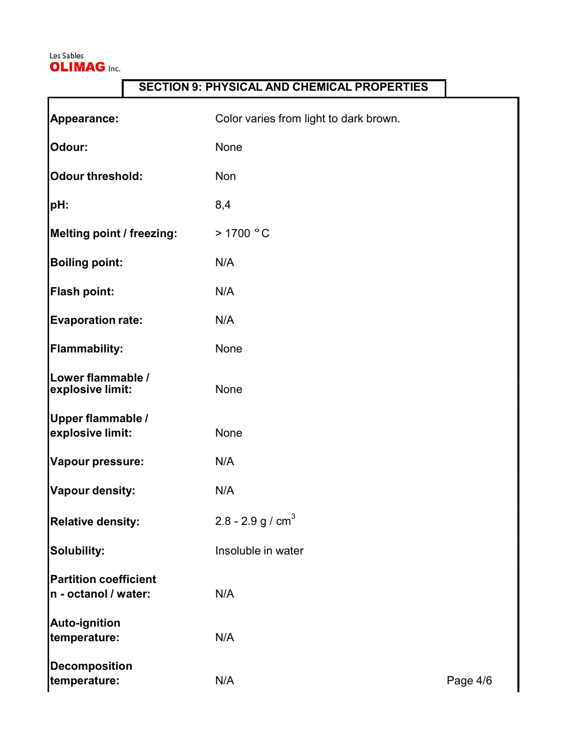

 $\mathsf{r}$ 

## SECTION 9: PHYSICAL AND CHEMICAL PROPERTIES

| Appearance:                                          | Color varies from light to dark brown. |          |
|------------------------------------------------------|----------------------------------------|----------|
| Odour:                                               | None                                   |          |
| Odour threshold:                                     | Non                                    |          |
| pH:                                                  | 8,4                                    |          |
| Melting point / freezing:                            | >1700 °C                               |          |
| <b>Boiling point:</b>                                | N/A                                    |          |
| <b>Flash point:</b>                                  | N/A                                    |          |
| <b>Evaporation rate:</b>                             | N/A                                    |          |
| <b>Flammability:</b>                                 | None                                   |          |
| Lower flammable /<br>explosive limit:                | None                                   |          |
| <b>Upper flammable /</b><br>explosive limit:         | None                                   |          |
| Vapour pressure:                                     | N/A                                    |          |
| Vapour density:                                      | N/A                                    |          |
| <b>Relative density:</b>                             | 2.8 - 2.9 g / $cm3$                    |          |
| Solubility:                                          | Insoluble in water                     |          |
| <b>Partition coefficient</b><br>n - octanol / water: | N/A                                    |          |
| <b>Auto-ignition</b><br>temperature:                 | N/A                                    |          |
| <b>Decomposition</b><br>temperature:                 | N/A                                    | Page 4/6 |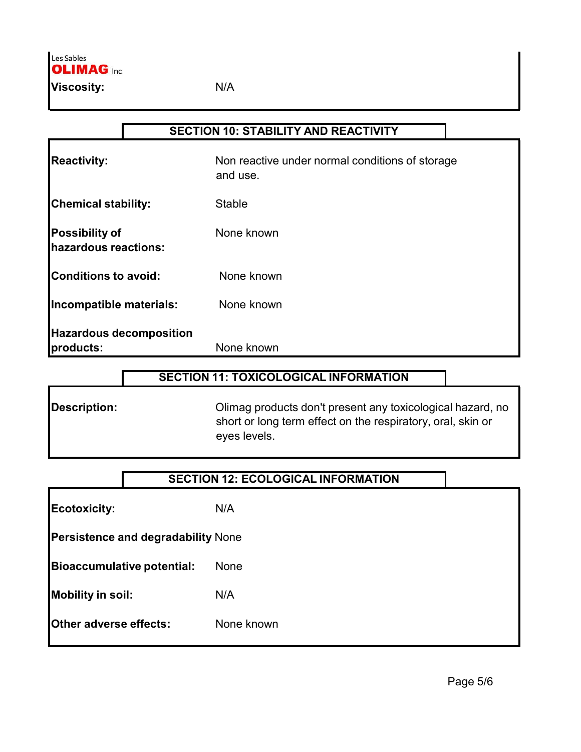|                                               | <b>SECTION 10: STABILITY AND REACTIVITY</b>                 |
|-----------------------------------------------|-------------------------------------------------------------|
| <b>Reactivity:</b>                            | Non reactive under normal conditions of storage<br>and use. |
| <b>Chemical stability:</b>                    | <b>Stable</b>                                               |
| <b>Possibility of</b><br>hazardous reactions: | None known                                                  |
| <b>Conditions to avoid:</b>                   | None known                                                  |
| Incompatible materials:                       | None known                                                  |
| <b>Hazardous decomposition</b><br>products:   | None known                                                  |

### SECTION 11: TOXICOLOGICAL INFORMATION

Description: Olimag products don't present any toxicological hazard, no short or long term effect on the respiratory, oral, skin or eyes levels.

### SECTION 12: ECOLOGICAL INFORMATION

Ecotoxicity: N/A Persistence and degradability None Bioaccumulative potential: None

Mobility in soil: N/A

Other adverse effects: None known